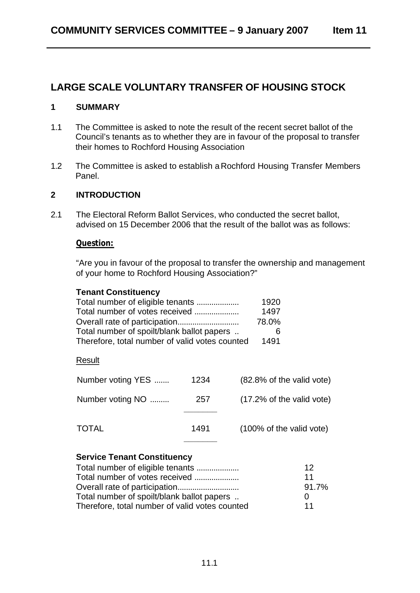# **LARGE SCALE VOLUNTARY TRANSFER OF HOUSING STOCK**

#### **1 SUMMARY**

- 1.1 The Committee is asked to note the result of the recent secret ballot of the Council's tenants as to whether they are in favour of the proposal to transfer their homes to Rochford Housing Association
- 1.2 The Committee is asked to establish a Rochford Housing Transfer Members Panel.

#### **2 INTRODUCTION**

2.1 The Electoral Reform Ballot Services, who conducted the secret ballot, advised on 15 December 2006 that the result of the ballot was as follows:

#### **Question:**

"Are you in favour of the proposal to transfer the ownership and management of your home to Rochford Housing Association?"

| <b>Tenant Constituency</b><br>Total number of eligible tenants<br>Total number of votes received<br>Total number of spoilt/blank ballot papers<br>Therefore, total number of valid votes counted |      | 1920<br>1497<br>78.0%<br>6<br>1491   |
|--------------------------------------------------------------------------------------------------------------------------------------------------------------------------------------------------|------|--------------------------------------|
| Result                                                                                                                                                                                           |      |                                      |
| Number voting YES                                                                                                                                                                                | 1234 | $(82.8\% \text{ of the valid vote})$ |
| Number voting NO                                                                                                                                                                                 | 257  | $(17.2\% \text{ of the valid vote})$ |
| TOTAL                                                                                                                                                                                            | 1491 | (100% of the valid vote)             |

## **Service Tenant Constituency**

| Total number of eligible tenants               | 12                |
|------------------------------------------------|-------------------|
| Total number of votes received                 | 11                |
|                                                | 91.7%             |
| Total number of spoilt/blank ballot papers     | $\mathbf{\Omega}$ |
| Therefore, total number of valid votes counted | 11                |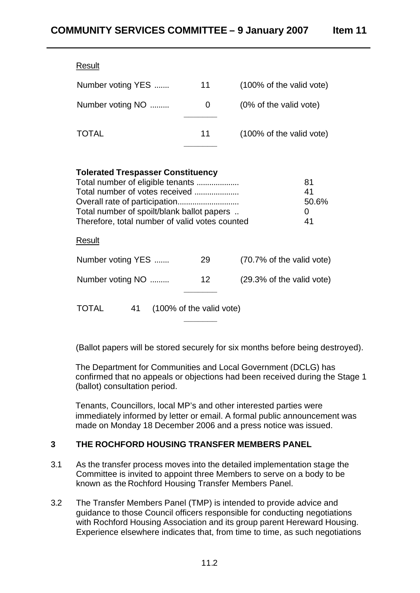| Result            |    |                          |
|-------------------|----|--------------------------|
| Number voting YES | 11 | (100% of the valid vote) |
| Number voting NO  | O  | (0% of the valid vote)   |
| TOTAL             | 11 | (100% of the valid vote) |

| <b>Tolerated Trespasser Constituency</b><br>Total number of eligible tenants<br>Total number of votes received<br>Total number of spoilt/blank ballot papers<br>Therefore, total number of valid votes counted |                 |                           |  |  |  |
|----------------------------------------------------------------------------------------------------------------------------------------------------------------------------------------------------------------|-----------------|---------------------------|--|--|--|
| Result                                                                                                                                                                                                         |                 |                           |  |  |  |
| Number voting YES                                                                                                                                                                                              | 29              | (70.7% of the valid vote) |  |  |  |
| Number voting NO                                                                                                                                                                                               | 12 <sup>2</sup> | (29.3% of the valid vote) |  |  |  |
| 41<br>(100% of the valid vote)<br>TOTAL                                                                                                                                                                        |                 |                           |  |  |  |

(Ballot papers will be stored securely for six months before being destroyed).

The Department for Communities and Local Government (DCLG) has confirmed that no appeals or objections had been received during the Stage 1 (ballot) consultation period.

Tenants, Councillors, local MP's and other interested parties were immediately informed by letter or email. A formal public announcement was made on Monday 18 December 2006 and a press notice was issued.

## **3 THE ROCHFORD HOUSING TRANSFER MEMBERS PANEL**

- 3.1 As the transfer process moves into the detailed implementation stage the Committee is invited to appoint three Members to serve on a body to be known as the Rochford Housing Transfer Members Panel.
- 3.2 The Transfer Members Panel (TMP) is intended to provide advice and guidance to those Council officers responsible for conducting negotiations with Rochford Housing Association and its group parent Hereward Housing. Experience elsewhere indicates that, from time to time, as such negotiations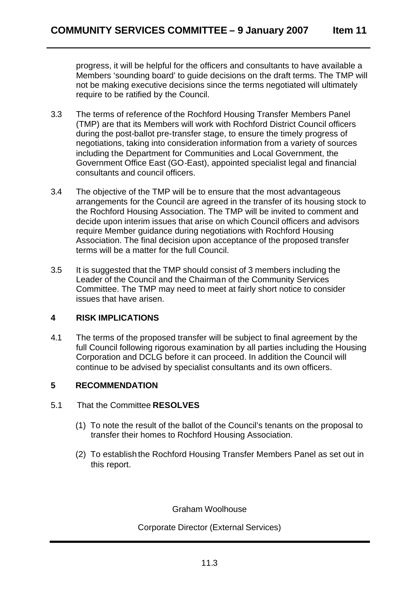progress, it will be helpful for the officers and consultants to have available a Members 'sounding board' to guide decisions on the draft terms. The TMP will not be making executive decisions since the terms negotiated will ultimately require to be ratified by the Council.

- 3.3 The terms of reference of the Rochford Housing Transfer Members Panel (TMP) are that its Members will work with Rochford District Council officers during the post-ballot pre-transfer stage, to ensure the timely progress of negotiations, taking into consideration information from a variety of sources including the Department for Communities and Local Government, the Government Office East (GO-East), appointed specialist legal and financial consultants and council officers.
- 3.4 The objective of the TMP will be to ensure that the most advantageous arrangements for the Council are agreed in the transfer of its housing stock to the Rochford Housing Association. The TMP will be invited to comment and decide upon interim issues that arise on which Council officers and advisors require Member guidance during negotiations with Rochford Housing Association. The final decision upon acceptance of the proposed transfer terms will be a matter for the full Council.
- 3.5 It is suggested that the TMP should consist of 3 members including the Leader of the Council and the Chairman of the Community Services Committee. The TMP may need to meet at fairly short notice to consider issues that have arisen.

## **4 RISK IMPLICATIONS**

4.1 The terms of the proposed transfer will be subject to final agreement by the full Council following rigorous examination by all parties including the Housing Corporation and DCLG before it can proceed. In addition the Council will continue to be advised by specialist consultants and its own officers.

## **5 RECOMMENDATION**

- 5.1 That the Committee **RESOLVES** 
	- (1) To note the result of the ballot of the Council's tenants on the proposal to transfer their homes to Rochford Housing Association.
	- (2) To establish the Rochford Housing Transfer Members Panel as set out in this report.

Graham Woolhouse

Corporate Director (External Services)